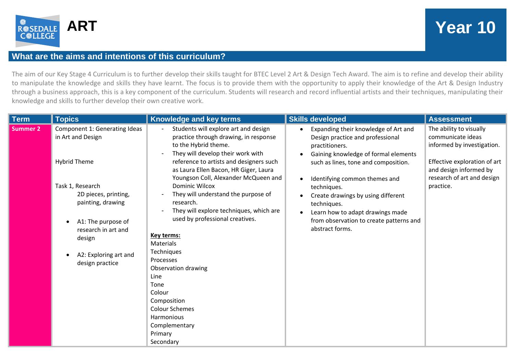

## **ART Year 10**

## **What are the aims and intentions of this curriculum?**

The aim of our Key Stage 4 Curriculum is to further develop their skills taught for BTEC Level 2 Art & Design Tech Award. The aim is to refine and develop their ability to manipulate the knowledge and skills they have learnt. The focus is to provide them with the opportunity to apply their knowledge of the Art & Design Industry through a business approach, this is a key component of the curriculum. Students will research and record influential artists and their techniques, manipulating their knowledge and skills to further develop their own creative work.

| Component 1: Generating Ideas<br>Students will explore art and design<br><b>Summer 2</b><br>Expanding their knowledge of Art and<br>in Art and Design<br>practice through drawing, in response<br>Design practice and professional<br>to the Hybrid theme.<br>practitioners.<br>They will develop their work with<br>Gaining knowledge of formal elements<br><b>Hybrid Theme</b><br>reference to artists and designers such<br>such as lines, tone and composition.<br>as Laura Ellen Bacon, HR Giger, Laura<br>Youngson Coll, Alexander McQueen and<br>Identifying common themes and<br>Dominic Wilcox<br>Task 1, Research<br>techniques.<br>They will understand the purpose of<br>2D pieces, printing,<br>Create drawings by using different<br>painting, drawing<br>research.<br>techniques.<br>They will explore techniques, which are<br>Learn how to adapt drawings made<br>used by professional creatives.<br>from observation to create patterns and<br>A1: The purpose of<br>abstract forms.<br>research in art and<br>Key terms:<br>design<br>Materials<br>Techniques<br>A2: Exploring art and<br>Processes<br>design practice<br>Observation drawing<br>Line | <b>Term</b> | <b>Topics</b> | <b>Knowledge and key terms</b> | <b>Skills developed</b> | <b>Assessment</b>                                                                                                                                                               |
|--------------------------------------------------------------------------------------------------------------------------------------------------------------------------------------------------------------------------------------------------------------------------------------------------------------------------------------------------------------------------------------------------------------------------------------------------------------------------------------------------------------------------------------------------------------------------------------------------------------------------------------------------------------------------------------------------------------------------------------------------------------------------------------------------------------------------------------------------------------------------------------------------------------------------------------------------------------------------------------------------------------------------------------------------------------------------------------------------------------------------------------------------------------------------|-------------|---------------|--------------------------------|-------------------------|---------------------------------------------------------------------------------------------------------------------------------------------------------------------------------|
| Tone<br>Colour<br>Composition<br><b>Colour Schemes</b><br>Harmonious                                                                                                                                                                                                                                                                                                                                                                                                                                                                                                                                                                                                                                                                                                                                                                                                                                                                                                                                                                                                                                                                                                     |             |               |                                |                         | The ability to visually<br>communicate ideas<br>informed by investigation.<br>Effective exploration of art<br>and design informed by<br>research of art and design<br>practice. |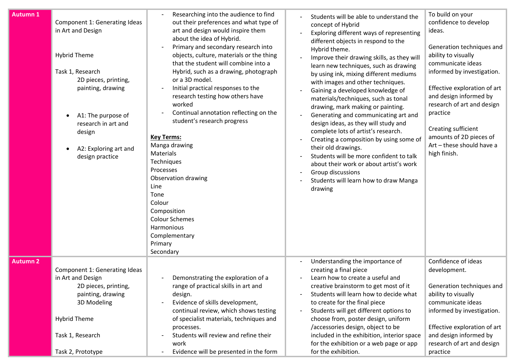| Autumn 1        | Component 1: Generating Ideas<br>in Art and Design<br><b>Hybrid Theme</b><br>Task 1, Research<br>2D pieces, printing,<br>painting, drawing<br>A1: The purpose of<br>$\bullet$<br>research in art and<br>design<br>A2: Exploring art and<br>٠<br>design practice | Researching into the audience to find<br>out their preferences and what type of<br>art and design would inspire them<br>about the idea of Hybrid.<br>Primary and secondary research into<br>objects, culture, materials or the thing<br>that the student will combine into a<br>Hybrid, such as a drawing, photograph<br>or a 3D model.<br>Initial practical responses to the<br>research testing how others have<br>worked<br>Continual annotation reflecting on the<br>student's research progress<br><b>Key Terms:</b><br>Manga drawing<br><b>Materials</b><br>Techniques<br>Processes<br>Observation drawing<br>Line<br>Tone<br>Colour<br>Composition<br><b>Colour Schemes</b><br>Harmonious<br>Complementary<br>Primary<br>Secondary | Students will be able to understand the<br>concept of Hybrid<br>Exploring different ways of representing<br>different objects in respond to the<br>Hybrid theme.<br>Improve their drawing skills, as they will<br>learn new techniques, such as drawing<br>by using ink, mixing different mediums<br>with images and other techniques.<br>Gaining a developed knowledge of<br>materials/techniques, such as tonal<br>drawing, mark making or painting.<br>Generating and communicating art and<br>design ideas, as they will study and<br>complete lots of artist's research.<br>Creating a composition by using some of<br>their old drawings.<br>Students will be more confident to talk<br>about their work or about artist's work<br>Group discussions<br>Students will learn how to draw Manga<br>drawing | To build on your<br>confidence to develop<br>ideas.<br>Generation techniques and<br>ability to visually<br>communicate ideas<br>informed by investigation.<br>Effective exploration of art<br>and design informed by<br>research of art and design<br>practice<br>Creating sufficient<br>amounts of 2D pieces of<br>Art - these should have a<br>high finish. |
|-----------------|-----------------------------------------------------------------------------------------------------------------------------------------------------------------------------------------------------------------------------------------------------------------|-------------------------------------------------------------------------------------------------------------------------------------------------------------------------------------------------------------------------------------------------------------------------------------------------------------------------------------------------------------------------------------------------------------------------------------------------------------------------------------------------------------------------------------------------------------------------------------------------------------------------------------------------------------------------------------------------------------------------------------------|----------------------------------------------------------------------------------------------------------------------------------------------------------------------------------------------------------------------------------------------------------------------------------------------------------------------------------------------------------------------------------------------------------------------------------------------------------------------------------------------------------------------------------------------------------------------------------------------------------------------------------------------------------------------------------------------------------------------------------------------------------------------------------------------------------------|---------------------------------------------------------------------------------------------------------------------------------------------------------------------------------------------------------------------------------------------------------------------------------------------------------------------------------------------------------------|
| <b>Autumn 2</b> | Component 1: Generating Ideas<br>in Art and Design<br>2D pieces, printing,<br>painting, drawing<br>3D Modeling<br><b>Hybrid Theme</b><br>Task 1, Research<br>Task 2, Prototype                                                                                  | Demonstrating the exploration of a<br>range of practical skills in art and<br>design.<br>Evidence of skills development,<br>continual review, which shows testing<br>of specialist materials, techniques and<br>processes.<br>Students will review and refine their<br>work<br>Evidence will be presented in the form                                                                                                                                                                                                                                                                                                                                                                                                                     | Understanding the importance of<br>$\overline{\phantom{a}}$<br>creating a final piece<br>Learn how to create a useful and<br>creative brainstorm to get most of it<br>Students will learn how to decide what<br>to create for the final piece<br>Students will get different options to<br>choose from, poster design, uniform<br>/accessories design, object to be<br>included in the exhibition, interior space<br>for the exhibition or a web page or app<br>for the exhibition.                                                                                                                                                                                                                                                                                                                            | Confidence of ideas<br>development.<br>Generation techniques and<br>ability to visually<br>communicate ideas<br>informed by investigation.<br>Effective exploration of art<br>and design informed by<br>research of art and design<br>practice                                                                                                                |
|                 |                                                                                                                                                                                                                                                                 |                                                                                                                                                                                                                                                                                                                                                                                                                                                                                                                                                                                                                                                                                                                                           |                                                                                                                                                                                                                                                                                                                                                                                                                                                                                                                                                                                                                                                                                                                                                                                                                |                                                                                                                                                                                                                                                                                                                                                               |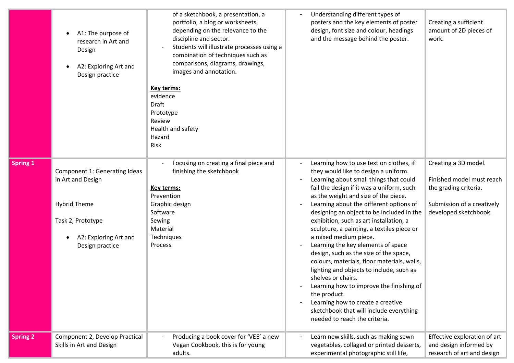|                 | A1: The purpose of<br>research in Art and<br>Design<br>A2: Exploring Art and<br>Design practice                                            | of a sketchbook, a presentation, a<br>portfolio, a blog or worksheets,<br>depending on the relevance to the<br>discipline and sector.<br>Students will illustrate processes using a<br>combination of techniques such as<br>comparisons, diagrams, drawings,<br>images and annotation.<br>Key terms:<br>evidence<br>Draft<br>Prototype<br>Review<br>Health and safety<br>Hazard<br>Risk | Understanding different types of<br>posters and the key elements of poster<br>design, font size and colour, headings<br>and the message behind the poster.                                                                                                                                                                                                                                                                                                                                                                                                                                                                                                                                                                                                                                             | Creating a sufficient<br>amount of 2D pieces of<br>work.                                                                          |
|-----------------|--------------------------------------------------------------------------------------------------------------------------------------------|-----------------------------------------------------------------------------------------------------------------------------------------------------------------------------------------------------------------------------------------------------------------------------------------------------------------------------------------------------------------------------------------|--------------------------------------------------------------------------------------------------------------------------------------------------------------------------------------------------------------------------------------------------------------------------------------------------------------------------------------------------------------------------------------------------------------------------------------------------------------------------------------------------------------------------------------------------------------------------------------------------------------------------------------------------------------------------------------------------------------------------------------------------------------------------------------------------------|-----------------------------------------------------------------------------------------------------------------------------------|
| Spring 1        | Component 1: Generating Ideas<br>in Art and Design<br><b>Hybrid Theme</b><br>Task 2, Prototype<br>A2: Exploring Art and<br>Design practice | Focusing on creating a final piece and<br>finishing the sketchbook<br><b>Key terms:</b><br>Prevention<br>Graphic design<br>Software<br>Sewing<br>Material<br>Techniques<br>Process                                                                                                                                                                                                      | Learning how to use text on clothes, if<br>they would like to design a uniform.<br>Learning about small things that could<br>fail the design if it was a uniform, such<br>as the weight and size of the piece.<br>Learning about the different options of<br>designing an object to be included in the<br>exhibition, such as art installation, a<br>sculpture, a painting, a textiles piece or<br>a mixed medium piece.<br>Learning the key elements of space<br>design, such as the size of the space,<br>colours, materials, floor materials, walls,<br>lighting and objects to include, such as<br>shelves or chairs.<br>Learning how to improve the finishing of<br>the product.<br>Learning how to create a creative<br>sketchbook that will include everything<br>needed to reach the criteria. | Creating a 3D model.<br>Finished model must reach<br>the grading criteria.<br>Submission of a creatively<br>developed sketchbook. |
| <b>Spring 2</b> | Component 2, Develop Practical<br>Skills in Art and Design                                                                                 | Producing a book cover for 'VEE' a new<br>Vegan Cookbook, this is for young<br>adults.                                                                                                                                                                                                                                                                                                  | Learn new skills, such as making sewn<br>vegetables, collaged or printed desserts,<br>experimental photographic still life,                                                                                                                                                                                                                                                                                                                                                                                                                                                                                                                                                                                                                                                                            | Effective exploration of art<br>and design informed by<br>research of art and design                                              |